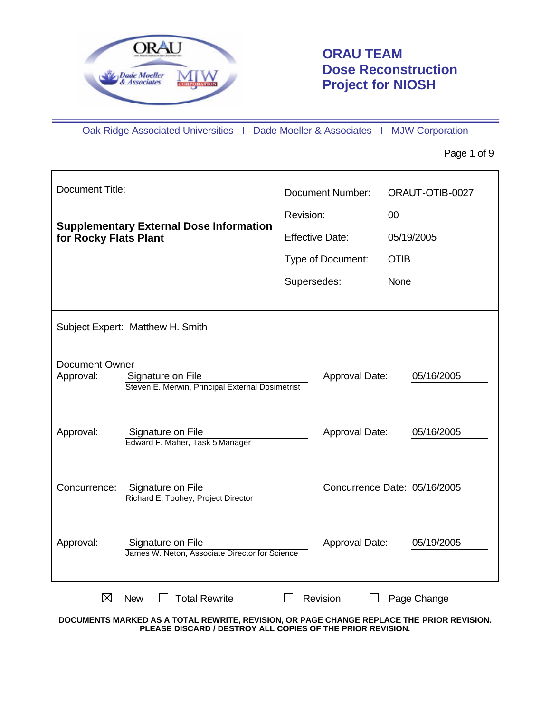

# **ORAU TEAM Dose Reconstruction Project for NIOSH**

Oak Ridge Associated Universities I Dade Moeller & Associates I MJW Corporation

Page 1 of 9

| Document Title:                    |                                                                                           | <b>Document Number:</b> | ORAUT-OTIB-0027              |
|------------------------------------|-------------------------------------------------------------------------------------------|-------------------------|------------------------------|
|                                    |                                                                                           | Revision:               | 00                           |
| for Rocky Flats Plant              | <b>Supplementary External Dose Information</b>                                            | <b>Effective Date:</b>  | 05/19/2005                   |
|                                    |                                                                                           | Type of Document:       | <b>OTIB</b>                  |
|                                    |                                                                                           | Supersedes:             | None                         |
|                                    |                                                                                           |                         |                              |
|                                    | Subject Expert: Matthew H. Smith                                                          |                         |                              |
|                                    |                                                                                           |                         |                              |
| <b>Document Owner</b><br>Approval: | Signature on File                                                                         | Approval Date:          | 05/16/2005                   |
|                                    | Steven E. Merwin, Principal External Dosimetrist                                          |                         |                              |
|                                    |                                                                                           |                         |                              |
| Approval:                          | Signature on File<br>Edward F. Maher, Task 5 Manager                                      | Approval Date:          | 05/16/2005                   |
|                                    |                                                                                           |                         |                              |
| Concurrence:                       | Signature on File                                                                         |                         | Concurrence Date: 05/16/2005 |
|                                    | Richard E. Toohey, Project Director                                                       |                         |                              |
|                                    |                                                                                           |                         |                              |
| Approval:                          | Signature on File<br>James W. Neton, Associate Director for Science                       | Approval Date:          | 05/19/2005                   |
|                                    |                                                                                           |                         |                              |
| ⊠                                  | <b>Total Rewrite</b><br><b>New</b>                                                        | Revision                | Page Change                  |
|                                    | DOCUMENTS MARKED AS A TOTAL REWRITE, REVISION, OR PAGE CHANGE REPLACE THE PRIOR REVISION. |                         |                              |

**PLEASE DISCARD / DESTROY ALL COPIES OF THE PRIOR REVISION.**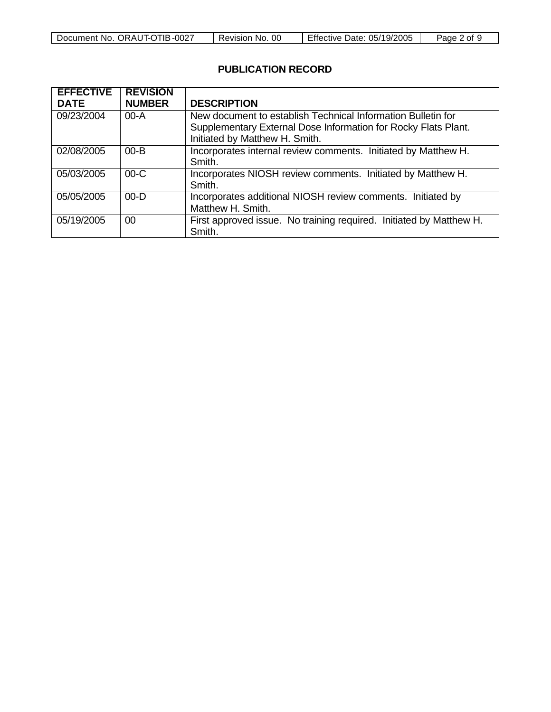| ,. ORAUT-OTIB <i>-</i> 0027 | 0C           | Effective Date: 05/19/2005 | 2 of |
|-----------------------------|--------------|----------------------------|------|
| Document No.                | Revision No. |                            | Page |

### **PUBLICATION RECORD**

| <b>EFFECTIVE</b> | <b>REVISION</b> |                                                                                                                                                                  |
|------------------|-----------------|------------------------------------------------------------------------------------------------------------------------------------------------------------------|
| <b>DATE</b>      | <b>NUMBER</b>   | <b>DESCRIPTION</b>                                                                                                                                               |
| 09/23/2004       | $00-A$          | New document to establish Technical Information Bulletin for<br>Supplementary External Dose Information for Rocky Flats Plant.<br>Initiated by Matthew H. Smith. |
| 02/08/2005       | $00 - B$        | Incorporates internal review comments. Initiated by Matthew H.<br>Smith.                                                                                         |
| 05/03/2005       | $00-C$          | Incorporates NIOSH review comments. Initiated by Matthew H.<br>Smith.                                                                                            |
| 05/05/2005       | $00 - D$        | Incorporates additional NIOSH review comments. Initiated by<br>Matthew H. Smith.                                                                                 |
| 05/19/2005       | $00 \,$         | First approved issue. No training required. Initiated by Matthew H.<br>Smith.                                                                                    |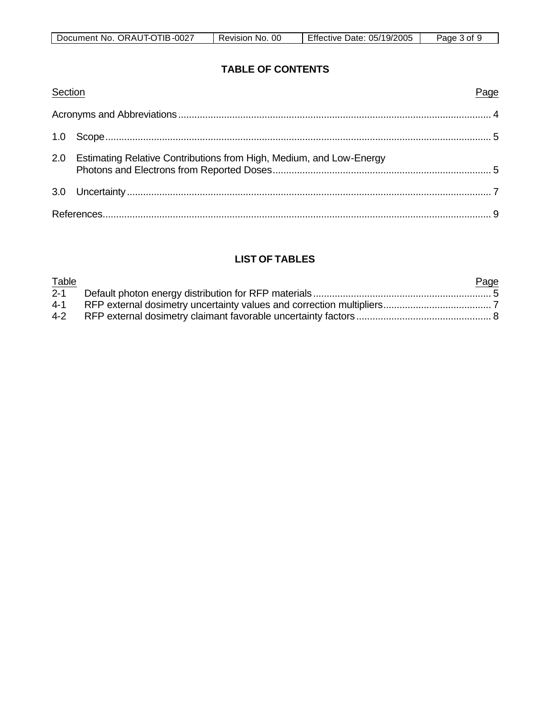| ГIЕ<br>0027-،<br>Document No.<br>ORAUT-OT | 00<br>No.<br>Revision | 19/2005<br>05/<br>Date:<br>Effective | 3 of<br>Pane |
|-------------------------------------------|-----------------------|--------------------------------------|--------------|

### **TABLE OF CONTENTS**

| Section |                                                                         | Page |
|---------|-------------------------------------------------------------------------|------|
|         |                                                                         |      |
|         |                                                                         |      |
|         | 2.0 Estimating Relative Contributions from High, Medium, and Low-Energy |      |
|         |                                                                         |      |
|         |                                                                         |      |

## **LIST OF TABLES**

| Table   | Page |
|---------|------|
| $2 - 1$ |      |
|         |      |
|         |      |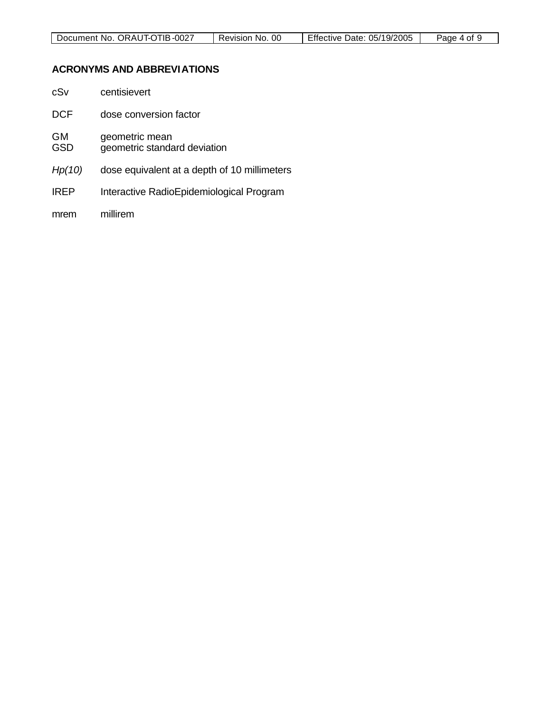| Document No. ORAUT-OTIB-0027 | Revision No. 00 | Effective Date: 05/19/2005 | Page 4 of |
|------------------------------|-----------------|----------------------------|-----------|
|                              |                 |                            |           |

### **ACRONYMS AND ABBREVIATIONS**

| cSv                     | centisievert                                   |
|-------------------------|------------------------------------------------|
| DCF                     | dose conversion factor                         |
| <b>GM</b><br><b>GSD</b> | geometric mean<br>geometric standard deviation |
| Hp(10)                  | dose equivalent at a depth of 10 millimeters   |
| <b>IREP</b>             | Interactive RadioEpidemiological Program       |
| mrem                    | millirem                                       |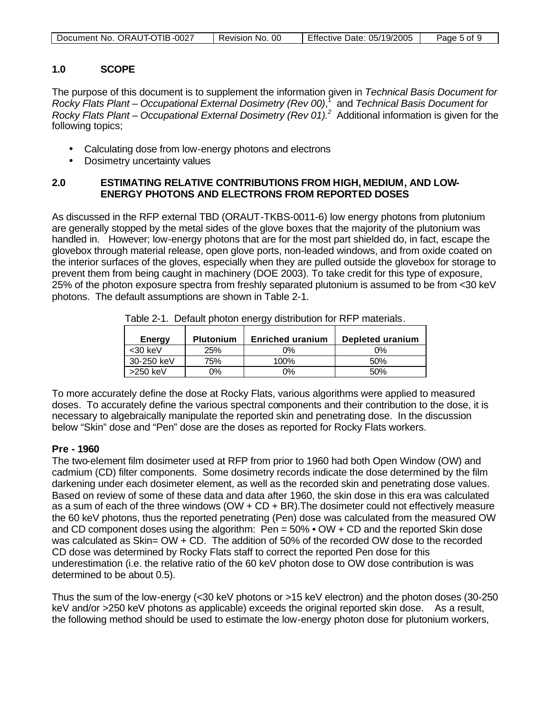| Document No. ORAUT-OTIB-0027 | 00<br>No.<br>Revision | Effective Date:<br>05/19/2005 | Page 5 of 9 |
|------------------------------|-----------------------|-------------------------------|-------------|
|                              |                       |                               |             |

#### **1.0 SCOPE**

The purpose of this document is to supplement the information given in *Technical Basis Document for Rocky Flats Plant – Occupational External Dosimetry (Rev 00)*, 1 and *Technical Basis Document for Rocky Flats Plant – Occupational External Dosimetry (Rev 01).<sup>2</sup> Additional information is given for the* following topics;

- Calculating dose from low-energy photons and electrons
- Dosimetry uncertainty values

#### **2.0 ESTIMATING RELATIVE CONTRIBUTIONS FROM HIGH, MEDIUM, AND LOW-ENERGY PHOTONS AND ELECTRONS FROM REPORTED DOSES**

As discussed in the RFP external TBD (ORAUT-TKBS-0011-6) low energy photons from plutonium are generally stopped by the metal sides of the glove boxes that the majority of the plutonium was handled in. However; low-energy photons that are for the most part shielded do, in fact, escape the glovebox through material release, open glove ports, non-leaded windows, and from oxide coated on the interior surfaces of the gloves, especially when they are pulled outside the glovebox for storage to prevent them from being caught in machinery (DOE 2003). To take credit for this type of exposure, 25% of the photon exposure spectra from freshly separated plutonium is assumed to be from <30 keV photons. The default assumptions are shown in Table 2-1.

| <b>Energy</b> | <b>Plutonium</b> | <b>Enriched uranium</b> | Depleted uranium |
|---------------|------------------|-------------------------|------------------|
| <30 keV       | 25%              | 0%                      | $0\%$            |
| 30-250 keV    | 75%              | 100%                    | 50%              |
| $>250$ keV    | ገ%               | 2%                      | 50%              |

Table 2-1. Default photon energy distribution for RFP materials.

To more accurately define the dose at Rocky Flats, various algorithms were applied to measured doses. To accurately define the various spectral components and their contribution to the dose, it is necessary to algebraically manipulate the reported skin and penetrating dose. In the discussion below "Skin" dose and "Pen" dose are the doses as reported for Rocky Flats workers.

#### **Pre - 1960**

The two-element film dosimeter used at RFP from prior to 1960 had both Open Window (OW) and cadmium (CD) filter components. Some dosimetry records indicate the dose determined by the film darkening under each dosimeter element, as well as the recorded skin and penetrating dose values. Based on review of some of these data and data after 1960, the skin dose in this era was calculated as a sum of each of the three windows (OW + CD + BR).The dosimeter could not effectively measure the 60 keV photons, thus the reported penetrating (Pen) dose was calculated from the measured OW and CD component doses using the algorithm: Pen = 50% • OW + CD and the reported Skin dose was calculated as  $Skin = OW + CD$ . The addition of 50% of the recorded OW dose to the recorded CD dose was determined by Rocky Flats staff to correct the reported Pen dose for this underestimation (i.e. the relative ratio of the 60 keV photon dose to OW dose contribution is was determined to be about 0.5).

Thus the sum of the low-energy (<30 keV photons or >15 keV electron) and the photon doses (30-250 keV and/or >250 keV photons as applicable) exceeds the original reported skin dose. As a result, the following method should be used to estimate the low-energy photon dose for plutonium workers,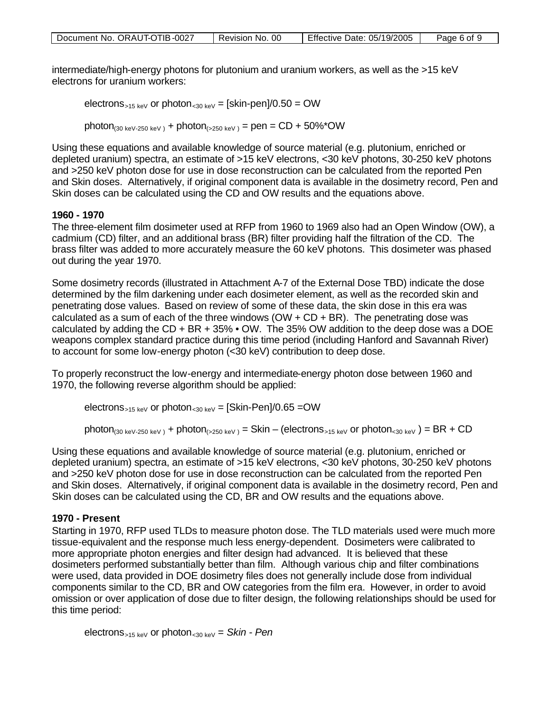| Document No. ORAUT-OTIB-0027 | Revision No. 00 | Effective Date: 05/19/2005 | Page 6 of 9 |
|------------------------------|-----------------|----------------------------|-------------|
|                              |                 |                            |             |

intermediate/high-energy photons for plutonium and uranium workers, as well as the >15 keV electrons for uranium workers:

electrons<sub>>15 keV</sub> or photon<sub><30 keV</sub> = [skin-pen]/0.50 = OW

photon<sub>(30 keV-250 keV</sub>) + photon<sub>(>250 keV</sub>) = pen = CD + 50%\*OW

Using these equations and available knowledge of source material (e.g. plutonium, enriched or depleted uranium) spectra, an estimate of >15 keV electrons, <30 keV photons, 30-250 keV photons and >250 keV photon dose for use in dose reconstruction can be calculated from the reported Pen and Skin doses. Alternatively, if original component data is available in the dosimetry record, Pen and Skin doses can be calculated using the CD and OW results and the equations above.

#### **1960 - 1970**

The three-element film dosimeter used at RFP from 1960 to 1969 also had an Open Window (OW), a cadmium (CD) filter, and an additional brass (BR) filter providing half the filtration of the CD. The brass filter was added to more accurately measure the 60 keV photons. This dosimeter was phased out during the year 1970.

Some dosimetry records (illustrated in Attachment A-7 of the External Dose TBD) indicate the dose determined by the film darkening under each dosimeter element, as well as the recorded skin and penetrating dose values. Based on review of some of these data, the skin dose in this era was calculated as a sum of each of the three windows  $(OW + CD + BR)$ . The penetrating dose was calculated by adding the CD + BR + 35% • OW. The 35% OW addition to the deep dose was a DOE weapons complex standard practice during this time period (including Hanford and Savannah River) to account for some low-energy photon (<30 keV) contribution to deep dose.

To properly reconstruct the low-energy and intermediate-energy photon dose between 1960 and 1970, the following reverse algorithm should be applied:

electrons<sub>>15 keV</sub> or photon<sub><30 keV</sub> =  $[Skin-Pen]/0.65 = OW$ 

photon<sub>(30 keV-250 keV)</sub> + photon<sub>(>250 keV)</sub> = Skin – (electrons<sub>>15 keV</sub> or photon<sub><30 keV</sub>) = BR + CD

Using these equations and available knowledge of source material (e.g. plutonium, enriched or depleted uranium) spectra, an estimate of >15 keV electrons, <30 keV photons, 30-250 keV photons and >250 keV photon dose for use in dose reconstruction can be calculated from the reported Pen and Skin doses. Alternatively, if original component data is available in the dosimetry record, Pen and Skin doses can be calculated using the CD, BR and OW results and the equations above.

#### **1970 - Present**

Starting in 1970, RFP used TLDs to measure photon dose. The TLD materials used were much more tissue-equivalent and the response much less energy-dependent. Dosimeters were calibrated to more appropriate photon energies and filter design had advanced. It is believed that these dosimeters performed substantially better than film. Although various chip and filter combinations were used, data provided in DOE dosimetry files does not generally include dose from individual components similar to the CD, BR and OW categories from the film era. However, in order to avoid omission or over application of dose due to filter design, the following relationships should be used for this time period:

electrons>15 keV or photon<30 keV = *Skin - Pen*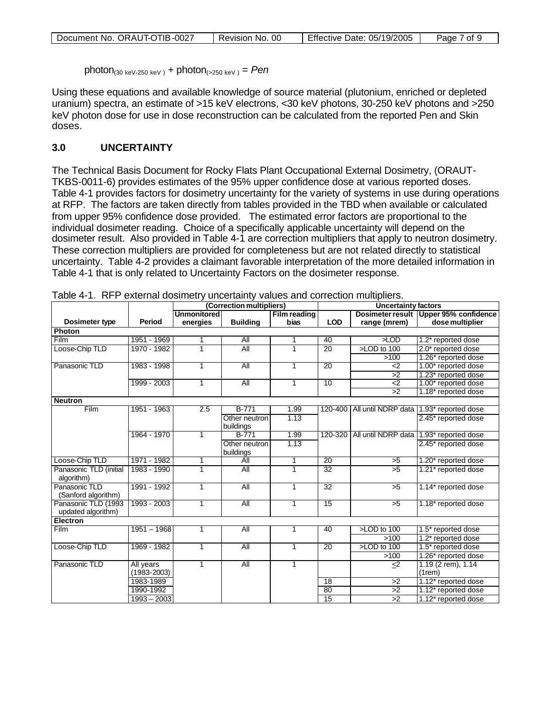| Document No. ORAUT-OTIB-0027 | 0C<br>Revision No. | Effective Date: 05/19/2005 | Page,<br>7 of . |
|------------------------------|--------------------|----------------------------|-----------------|
|------------------------------|--------------------|----------------------------|-----------------|

photon<sub>(30 keV-250 keV)</sub> + photon<sub>(>250 keV)</sub> = Pen

Using these equations and available knowledge of source material (plutonium, enriched or depleted uranium) spectra, an estimate of >15 keV electrons, <30 keV photons, 30-250 keV photons and >250 keV photon dose for use in dose reconstruction can be calculated from the reported Pen and Skin doses.

#### **3.0 UNCERTAINTY**

The Technical Basis Document for Rocky Flats Plant Occupational External Dosimetry, (ORAUT-TKBS-0011-6) provides estimates of the 95% upper confidence dose at various reported doses. Table 4-1 provides factors for dosimetry uncertainty for the variety of systems in use during operations at RFP. The factors are taken directly from tables provided in the TBD when available or calculated from upper 95% confidence dose provided. The estimated error factors are proportional to the individual dosimeter reading. Choice of a specifically applicable uncertainty will depend on the dosimeter result. Also provided in Table 4-1 are correction multipliers that apply to neutron dosimetry. These correction multipliers are provided for completeness but are not related directly to statistical uncertainty. Table 4-2 provides a claimant favorable interpretation of the more detailed information in Table 4-1 that is only related to Uncertainty Factors on the dosimeter response.

|                        |                 | (Correction multipliers) |                  |                     | <b>Uncertainty factors</b> |                 |                                                     |
|------------------------|-----------------|--------------------------|------------------|---------------------|----------------------------|-----------------|-----------------------------------------------------|
|                        |                 | <b>Unmonitored</b>       |                  | <b>Film reading</b> |                            |                 | Dosimeter result Upper 95% confidence               |
| Dosimeter type         | Period          | energies                 | <b>Building</b>  | bias                | <b>LOD</b>                 | range (mrem)    | dose multiplier                                     |
| <b>Photon</b>          |                 |                          |                  |                     |                            |                 |                                                     |
| Film                   | 1951 - 1969     |                          | All              | 1                   | 40                         | $\times$ LOD    | 1.2* reported dose                                  |
| Loose-Chip TLD         | 1970 - 1982     | 1                        | All              | 1                   | $\overline{20}$            | >LOD to 100     | 2.0* reported dose                                  |
|                        |                 |                          |                  |                     |                            | >100            | 1.26* reported dose                                 |
| Panasonic TLD          | 1983 - 1998     | $\mathbf{1}$             | All              | $\mathbf{1}$        | $\overline{20}$            | $\leq$          | 1.00* reported dose                                 |
|                        |                 |                          |                  |                     |                            | $\overline{2}$  | 1.23* reported dose                                 |
|                        | 1999 - 2003     | $\mathbf{1}$             | All              | 1                   | 10                         | ۵)              | 1.00* reported dose                                 |
|                        |                 |                          |                  |                     |                            | >2              | 1.18* reported dose                                 |
| <b>Neutron</b>         |                 |                          |                  |                     |                            |                 |                                                     |
| Film                   | 1951 - 1963     | $\overline{2.5}$         | $B-771$          | 1.99                |                            |                 | 120-400   All until NDRP data   1.93* reported dose |
|                        |                 |                          | Other neutron    | 1.13                |                            |                 | 2.45* reported dose                                 |
|                        |                 |                          | buildings        |                     |                            |                 |                                                     |
|                        | 1964 - 1970     | $\mathbf{1}$             | $B-771$          | 1.99                |                            |                 | 120-320 All until NDRP data 1.93* reported dose     |
|                        |                 |                          | Other neutron    | 1.13                |                            |                 | 2.45* reported dose                                 |
|                        |                 |                          | buildings        |                     |                            |                 |                                                     |
| Loose-Chip TLD         | 1971 - 1982     | 1                        | All              | 1                   | $\overline{20}$            | $\overline{5}$  | 1.20* reported dose                                 |
| Panasonic TLD (initial | 1983 - 1990     | 1                        | All              | 1                   | $\overline{32}$            | $\overline{5}$  | 1.21* reported dose                                 |
| algorithm)             |                 |                          |                  |                     |                            |                 |                                                     |
| Panasonic TLD          | 1991 - 1992     | $\mathbf{1}$             | $\overline{All}$ | 1                   | $\overline{32}$            | $\overline{5}$  | 1.14* reported dose                                 |
| (Sanford algorithm)    |                 |                          |                  |                     |                            |                 |                                                     |
| Panasonic TLD (1993    | 1993 - 2003     | 1                        | All              | 1                   | 15                         | >5              | 1.18* reported dose                                 |
| updated algorithm)     |                 |                          |                  |                     |                            |                 |                                                     |
| <b>Electron</b>        |                 |                          |                  |                     |                            |                 |                                                     |
| <b>Film</b>            | $1951 - 1968$   | 1                        | All              | 1                   | 40                         | >LOD to 100     | 1.5* reported dose                                  |
|                        |                 |                          |                  |                     |                            | >100            | 1.2* reported dose                                  |
| Loose-Chip TLD         | 1969 - 1982     | 1                        | All              | $\mathbf{1}$        | 20                         | >LOD to 100     | 1.5* reported dose                                  |
|                        |                 |                          |                  |                     |                            | >100            | 1.26* reported dose                                 |
| Panasonic TLD          | All years       | $\mathbf{1}$             | All              | $\mathbf{1}$        |                            | $<$ 2           | 1.19 (2 rem), 1.14                                  |
|                        | $(1983 - 2003)$ |                          |                  |                     |                            |                 | (1rem)                                              |
|                        | 1983-1989       |                          |                  |                     | $\overline{18}$            | >2              | 1.12* reported dose                                 |
|                        | 1990-1992       |                          |                  |                     | 80                         | $\overline{2}$  | 1.12* reported dose                                 |
|                        | $1993 - 2003$   |                          |                  |                     | $\overline{15}$            | $\overline{>2}$ | 1.12* reported dose                                 |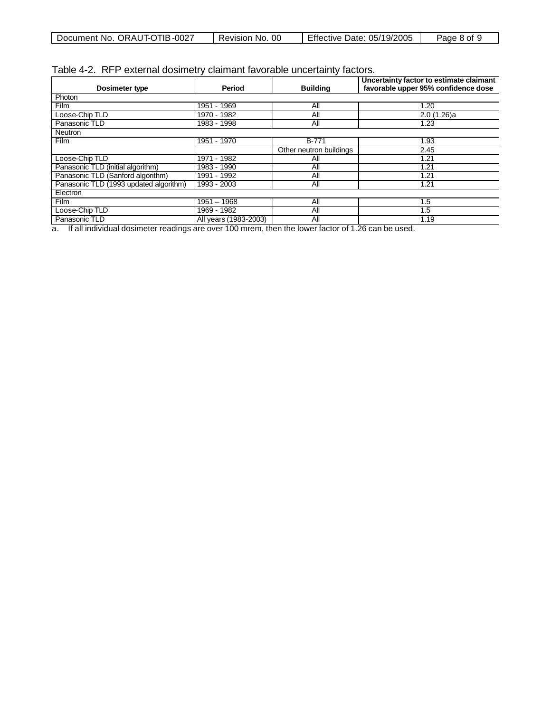| . ORAUT-OTIB -0027<br>Document No. | 00<br>Revision<br>No. | 05/19/2005<br>Date:<br>Effective | 8 ot 1<br>Page |
|------------------------------------|-----------------------|----------------------------------|----------------|
|                                    |                       |                                  |                |

| Dosimeter type                         | Period                | <b>Building</b>         | Uncertainty factor to estimate claimant<br>favorable upper 95% confidence dose |  |  |  |
|----------------------------------------|-----------------------|-------------------------|--------------------------------------------------------------------------------|--|--|--|
| Photon                                 |                       |                         |                                                                                |  |  |  |
| <b>Film</b>                            | 1951 - 1969           | All                     | 1.20                                                                           |  |  |  |
| Loose-Chip TLD                         | $1970 - 1982$         | All                     | 2.0(1.26)a                                                                     |  |  |  |
| Panasonic TLD                          | 1983 - 1998           | All                     | 1.23                                                                           |  |  |  |
| <b>Neutron</b>                         |                       |                         |                                                                                |  |  |  |
| <b>Film</b>                            | 1951 - 1970           | <b>B-771</b>            | 1.93                                                                           |  |  |  |
|                                        |                       | Other neutron buildings | 2.45                                                                           |  |  |  |
| Loose-Chip TLD                         | 1971 - 1982           | All                     | 1.21                                                                           |  |  |  |
| Panasonic TLD (initial algorithm)      | 1983 - 1990           | All                     | 1.21                                                                           |  |  |  |
| Panasonic TLD (Sanford algorithm)      | 1991 - 1992           | All                     | 1.21                                                                           |  |  |  |
| Panasonic TLD (1993 updated algorithm) | 1993 - 2003           | All                     | 1.21                                                                           |  |  |  |
| Electron                               |                       |                         |                                                                                |  |  |  |
| <b>Film</b>                            | $1951 - 1968$         | All                     | 1.5                                                                            |  |  |  |
| Loose-Chip TLD                         | 1969 - 1982           | All                     | 1.5                                                                            |  |  |  |
| Panasonic TLD                          | All years (1983-2003) | All                     | 1.19                                                                           |  |  |  |

a. If all individual dosimeter readings are over 100 mrem, then the lower factor of 1.26 can be used.